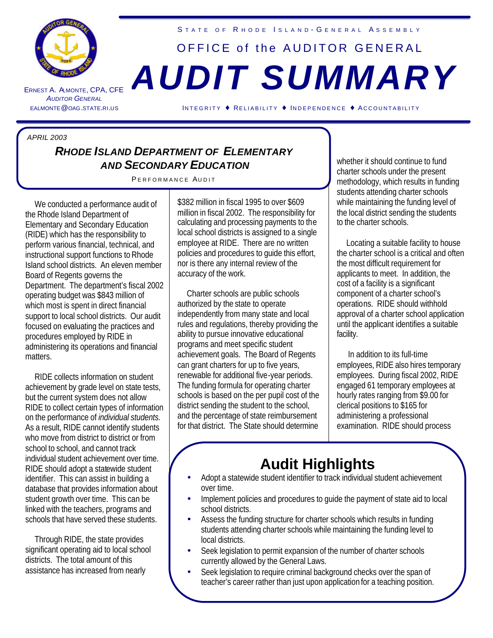

ERNEST A. ALMONTE *A UDITOR GENERAL* STATE OF RHODE ISLAND-GENERAL ASSEMBLY

## OFFICE of the AUDITOR GENERAL , CPA, CFE *AUDIT SUMMARY*

EALMONTE@OAG.STATE.RI.US INTEGRITY ♦ RELIABILITY ♦ INDEPENDENCE ♦ A CCOUNTABILITY

## *APRIL 2003*

## *RHODE ISLAND DEPARTMENT OF ELEMENTARY AND SECONDARY EDUCATION*

PERFORMANCE AUDIT

 We conducted a performance audit of the Rhode Island Department of Elementary and Secondary Education (RIDE) which has the responsibility to perform various financial, technical, and instructional support functions to Rhode Island school districts. An eleven member Board of Regents governs the Department. The department's fiscal 2002 operating budget was \$843 million of which most is spent in direct financial support to local school districts. Our audit focused on evaluating the practices and procedures employed by RIDE in administering its operations and financial matters.

 RIDE collects information on student achievement by grade level on state tests, but the current system does not allow RIDE to collect certain types of information on the performance of *individual students.*  As a result, RIDE cannot identify students who move from district to district or from school to school, and cannot track individual student achievement over time. RIDE should adopt a statewide student identifier. This can assist in building a database that provides information about student growth over time. This can be linked with the teachers, programs and schools that have served these students.

 Through RIDE, the state provides significant operating aid to local school districts. The total amount of this assistance has increased from nearly

\$382 million in fiscal 1995 to over \$609 million in fiscal 2002. The responsibility for calculating and processing payments to the local school districts is assigned to a single employee at RIDE. There are no written policies and procedures to guide this effort, nor is there any internal review of the accuracy of the work.

 Charter schools are public schools authorized by the state to operate independently from many state and local rules and regulations, thereby providing the ability to pursue innovative educational programs and meet specific student achievement goals. The Board of Regents can grant charters for up to five years, renewable for additional five-year periods. The funding formula for operating charter schools is based on the per pupil cost of the district sending the student to the school, and the percentage of state reimbursement for that district. The State should determine

whether it should continue to fund charter schools under the present methodology, which results in funding students attending charter schools while maintaining the funding level of the local district sending the students to the charter schools.

 Locating a suitable facility to house the charter school is a critical and often the most difficult requirement for applicants to meet. In addition, the cost of a facility is a significant component of a charter school's operations. RIDE should withhold approval of a charter school application until the applicant identifies a suitable facility.

 In addition to its full-time employees, RIDE also hires temporary employees. During fiscal 2002, RIDE engaged 61 temporary employees at hourly rates ranging from \$9.00 for clerical positions to \$165 for administering a professional examination. RIDE should process

## **Audit Highlights**

- Adopt a statewide student identifier to track individual student achievement over time.
- Implement policies and procedures to guide the payment of state aid to local school districts.
- Assess the funding structure for charter schools which results in funding students attending charter schools while maintaining the funding level to local districts.
- Seek legislation to permit expansion of the number of charter schools currently allowed by the General Laws.
- Seek legislation to require criminal background checks over the span of teacher's career rather than just upon application for a teaching position.